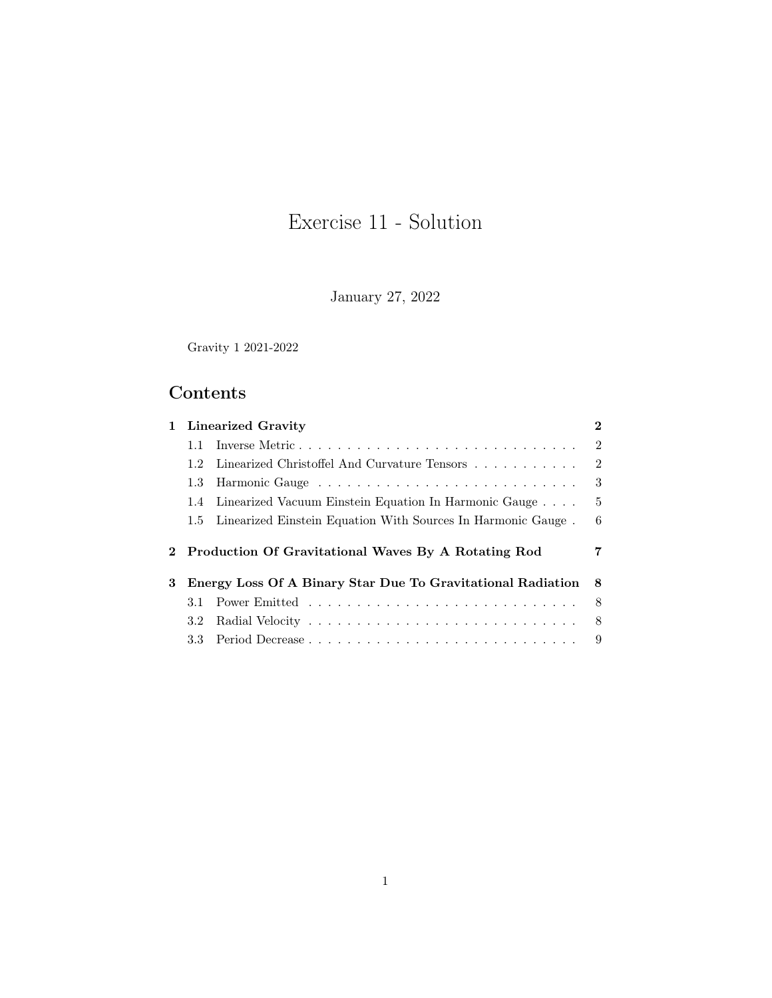# Exercise 11 - Solution

January 27, 2022

Gravity 1 2021-2022

## Contents

|   |                  | 1 Linearized Gravity                                             | $\bf{2}$       |
|---|------------------|------------------------------------------------------------------|----------------|
|   | $1.1 -$          | Inverse Metric                                                   | $\overline{2}$ |
|   | 1.2              | Linearized Christoffel And Curvature Tensors                     | 2              |
|   | 1.3              |                                                                  | 3              |
|   |                  | 1.4 Linearized Vacuum Einstein Equation In Harmonic Gauge        | -5             |
|   |                  | 1.5 Linearized Einstein Equation With Sources In Harmonic Gauge. | 6              |
|   |                  |                                                                  |                |
|   |                  | 2 Production Of Gravitational Waves By A Rotating Rod            | 7              |
|   |                  | Energy Loss Of A Binary Star Due To Gravitational Radiation      | -8             |
|   | 3.1 -            |                                                                  | - 8            |
|   | 3.2 <sub>1</sub> |                                                                  | - 8            |
| 3 | 3.3 -            |                                                                  |                |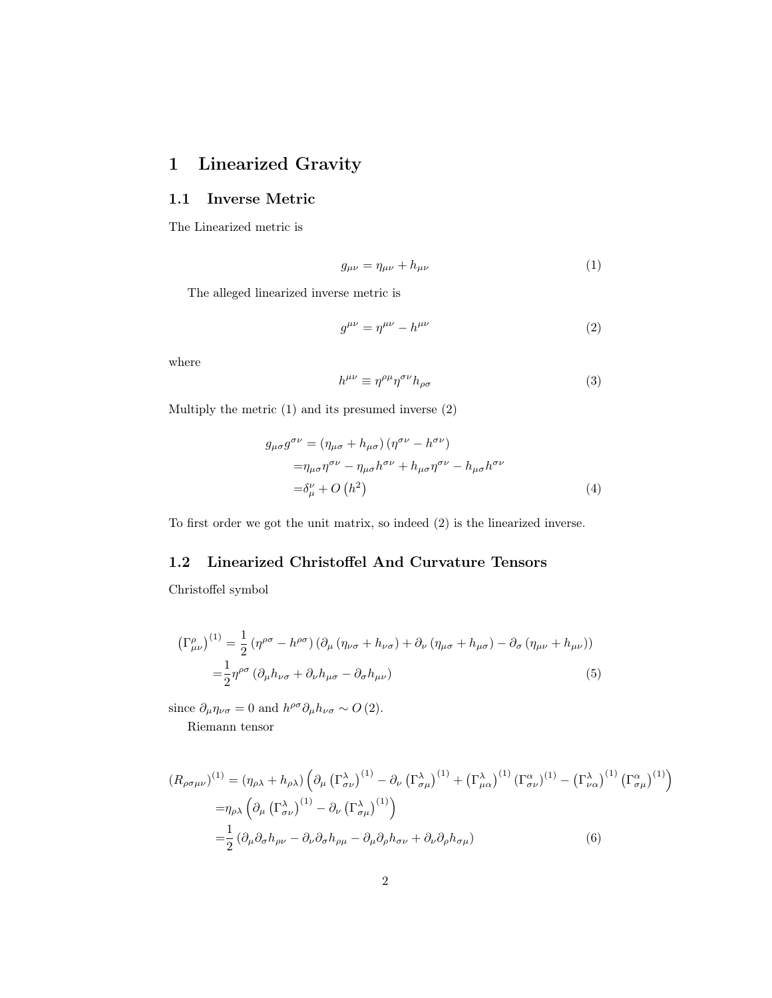## <span id="page-1-0"></span>1 Linearized Gravity

#### <span id="page-1-1"></span>1.1 Inverse Metric

The Linearized metric is

<span id="page-1-3"></span>
$$
g_{\mu\nu} = \eta_{\mu\nu} + h_{\mu\nu} \tag{1}
$$

The alleged linearized inverse metric is

<span id="page-1-4"></span>
$$
g^{\mu\nu} = \eta^{\mu\nu} - h^{\mu\nu} \tag{2}
$$

where

$$
h^{\mu\nu} \equiv \eta^{\rho\mu} \eta^{\sigma\nu} h_{\rho\sigma} \tag{3}
$$

Multiply the metric [\(1\)](#page-1-3) and its presumed inverse [\(2\)](#page-1-4)

$$
g_{\mu\sigma}g^{\sigma\nu} = (\eta_{\mu\sigma} + h_{\mu\sigma}) (\eta^{\sigma\nu} - h^{\sigma\nu})
$$
  

$$
= \eta_{\mu\sigma}\eta^{\sigma\nu} - \eta_{\mu\sigma}h^{\sigma\nu} + h_{\mu\sigma}\eta^{\sigma\nu} - h_{\mu\sigma}h^{\sigma\nu}
$$
  

$$
= \delta^{\nu}_{\mu} + O(h^2)
$$
 (4)

To first order we got the unit matrix, so indeed [\(2\)](#page-1-4) is the linearized inverse.

#### <span id="page-1-2"></span>1.2 Linearized Christoffel And Curvature Tensors

Christoffel symbol

$$
\left(\Gamma^{\rho}_{\mu\nu}\right)^{(1)} = \frac{1}{2} \left(\eta^{\rho\sigma} - h^{\rho\sigma}\right) \left(\partial_{\mu} \left(\eta_{\nu\sigma} + h_{\nu\sigma}\right) + \partial_{\nu} \left(\eta_{\mu\sigma} + h_{\mu\sigma}\right) - \partial_{\sigma} \left(\eta_{\mu\nu} + h_{\mu\nu}\right)\right)
$$

$$
= \frac{1}{2} \eta^{\rho\sigma} \left(\partial_{\mu} h_{\nu\sigma} + \partial_{\nu} h_{\mu\sigma} - \partial_{\sigma} h_{\mu\nu}\right)
$$
(5)

since  $\partial_{\mu} \eta_{\nu\sigma} = 0$  and  $h^{\rho\sigma} \partial_{\mu} h_{\nu\sigma} \sim O(2)$ .

Riemann tensor

$$
(R_{\rho\sigma\mu\nu})^{(1)} = (\eta_{\rho\lambda} + h_{\rho\lambda}) \left( \partial_{\mu} \left( \Gamma^{\lambda}_{\sigma\nu} \right)^{(1)} - \partial_{\nu} \left( \Gamma^{\lambda}_{\sigma\mu} \right)^{(1)} + \left( \Gamma^{\lambda}_{\mu\alpha} \right)^{(1)} \left( \Gamma^{\alpha}_{\sigma\nu} \right)^{(1)} - \left( \Gamma^{\lambda}_{\nu\alpha} \right)^{(1)} \left( \Gamma^{\alpha}_{\sigma\mu} \right)^{(1)} \right)
$$
  

$$
= \eta_{\rho\lambda} \left( \partial_{\mu} \left( \Gamma^{\lambda}_{\sigma\nu} \right)^{(1)} - \partial_{\nu} \left( \Gamma^{\lambda}_{\sigma\mu} \right)^{(1)} \right)
$$
  

$$
= \frac{1}{2} \left( \partial_{\mu} \partial_{\sigma} h_{\rho\nu} - \partial_{\nu} \partial_{\sigma} h_{\rho\mu} - \partial_{\mu} \partial_{\rho} h_{\sigma\nu} + \partial_{\nu} \partial_{\rho} h_{\sigma\mu} \right)
$$
 (6)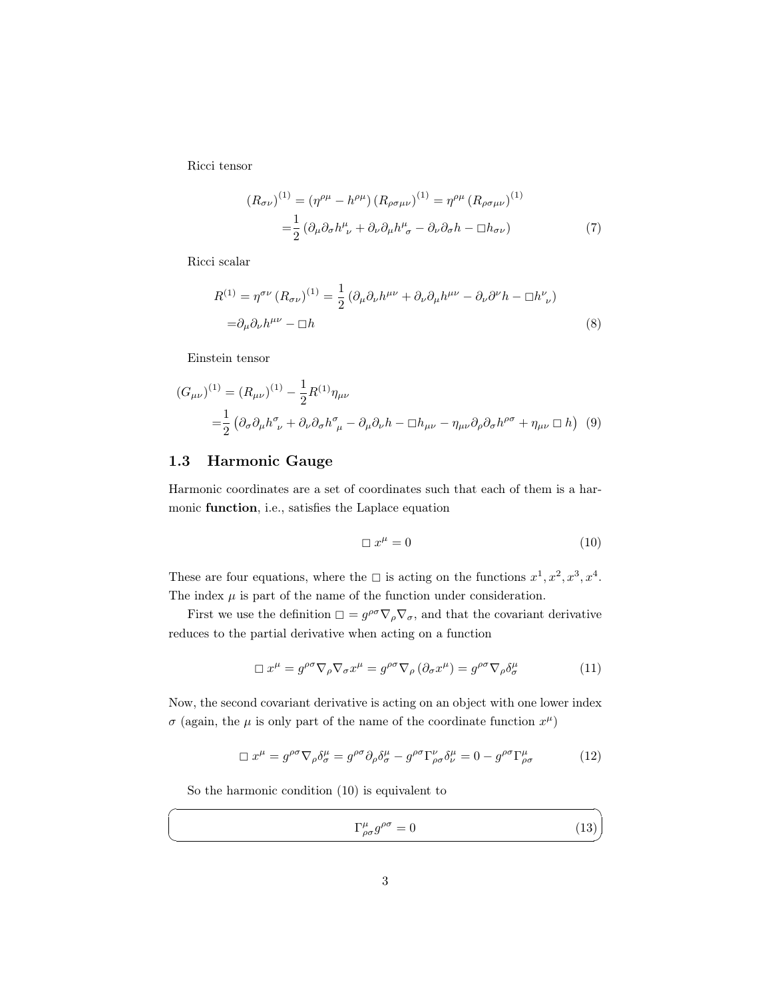Ricci tensor

<span id="page-2-3"></span>
$$
(R_{\sigma\nu})^{(1)} = (\eta^{\rho\mu} - h^{\rho\mu}) (R_{\rho\sigma\mu\nu})^{(1)} = \eta^{\rho\mu} (R_{\rho\sigma\mu\nu})^{(1)}
$$

$$
= \frac{1}{2} (\partial_{\mu}\partial_{\sigma}h^{\mu}_{\ \nu} + \partial_{\nu}\partial_{\mu}h^{\mu}_{\ \sigma} - \partial_{\nu}\partial_{\sigma}h - \Box h_{\sigma\nu}) \tag{7}
$$

Ricci scalar

$$
R^{(1)} = \eta^{\sigma\nu} (R_{\sigma\nu})^{(1)} = \frac{1}{2} (\partial_{\mu}\partial_{\nu}h^{\mu\nu} + \partial_{\nu}\partial_{\mu}h^{\mu\nu} - \partial_{\nu}\partial^{\nu}h - \Box h^{\nu}_{\ \nu})
$$
  
=  $\partial_{\mu}\partial_{\nu}h^{\mu\nu} - \Box h$  (8)

Einstein tensor

$$
(G_{\mu\nu})^{(1)} = (R_{\mu\nu})^{(1)} - \frac{1}{2}R^{(1)}\eta_{\mu\nu}
$$
  
= 
$$
\frac{1}{2} (\partial_{\sigma}\partial_{\mu}h^{\sigma}_{\nu} + \partial_{\nu}\partial_{\sigma}h^{\sigma}_{\mu} - \partial_{\mu}\partial_{\nu}h - \Box h_{\mu\nu} - \eta_{\mu\nu}\partial_{\rho}\partial_{\sigma}h^{\rho\sigma} + \eta_{\mu\nu} \Box h) (9)
$$

#### <span id="page-2-0"></span>1.3 Harmonic Gauge

Harmonic coordinates are a set of coordinates such that each of them is a harmonic function, i.e., satisfies the Laplace equation

<span id="page-2-4"></span><span id="page-2-1"></span>
$$
\Box x^{\mu} = 0 \tag{10}
$$

These are four equations, where the  $\Box$  is acting on the functions  $x^1, x^2, x^3, x^4$ . The index  $\mu$  is part of the name of the function under consideration.

First we use the definition  $\square = g^{\rho\sigma}\nabla_{\rho}\nabla_{\sigma}$ , and that the covariant derivative reduces to the partial derivative when acting on a function

$$
\Box x^{\mu} = g^{\rho \sigma} \nabla_{\rho} \nabla_{\sigma} x^{\mu} = g^{\rho \sigma} \nabla_{\rho} (\partial_{\sigma} x^{\mu}) = g^{\rho \sigma} \nabla_{\rho} \delta^{\mu}_{\sigma}
$$
(11)

Now, the second covariant derivative is acting on an object with one lower index  $\sigma$  (again, the  $\mu$  is only part of the name of the coordinate function  $x^{\mu}$ )

$$
\Box x^{\mu} = g^{\rho\sigma} \nabla_{\rho} \delta^{\mu}_{\sigma} = g^{\rho\sigma} \partial_{\rho} \delta^{\mu}_{\sigma} - g^{\rho\sigma} \Gamma^{\nu}_{\rho\sigma} \delta^{\mu}_{\nu} = 0 - g^{\rho\sigma} \Gamma^{\mu}_{\rho\sigma}
$$
(12)

So the harmonic condition [\(10\)](#page-2-1) is equivalent to

☛

 $\searrow$ 

<span id="page-2-2"></span>
$$
\Gamma^{\mu}_{\rho\sigma}g^{\rho\sigma} = 0\tag{13}
$$

✠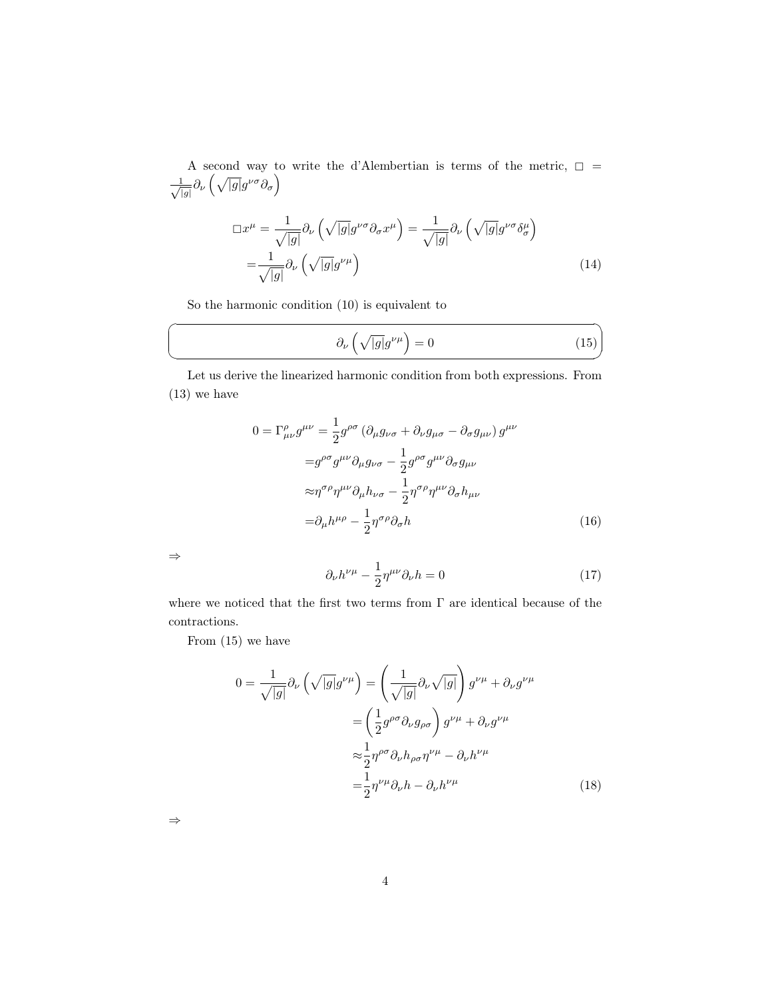A second way to write the d'Alembertian is terms of the metric,  $\Box$  =  $-\frac{1}{c}$  $\frac{1}{|g|} \partial_{\nu} \left( \sqrt{|g|} g^{\nu\sigma} \partial_{\sigma} \right)$ 

$$
\Box x^{\mu} = \frac{1}{\sqrt{|g|}} \partial_{\nu} \left( \sqrt{|g|} g^{\nu \sigma} \partial_{\sigma} x^{\mu} \right) = \frac{1}{\sqrt{|g|}} \partial_{\nu} \left( \sqrt{|g|} g^{\nu \sigma} \delta^{\mu}_{\sigma} \right)
$$

$$
= \frac{1}{\sqrt{|g|}} \partial_{\nu} \left( \sqrt{|g|} g^{\nu \mu} \right)
$$
(14)

So the harmonic condition [\(10\)](#page-2-1) is equivalent to

<span id="page-3-0"></span>
$$
\partial_{\nu} \left( \sqrt{|g|} g^{\nu \mu} \right) = 0 \tag{15}
$$

✟

✠

Let us derive the linearized harmonic condition from both expressions. From [\(13\)](#page-2-2) we have

$$
0 = \Gamma^{\rho}_{\mu\nu} g^{\mu\nu} = \frac{1}{2} g^{\rho\sigma} \left( \partial_{\mu} g_{\nu\sigma} + \partial_{\nu} g_{\mu\sigma} - \partial_{\sigma} g_{\mu\nu} \right) g^{\mu\nu}
$$

$$
= g^{\rho\sigma} g^{\mu\nu} \partial_{\mu} g_{\nu\sigma} - \frac{1}{2} g^{\rho\sigma} g^{\mu\nu} \partial_{\sigma} g_{\mu\nu}
$$

$$
\approx \eta^{\sigma\rho} \eta^{\mu\nu} \partial_{\mu} h_{\nu\sigma} - \frac{1}{2} \eta^{\sigma\rho} \eta^{\mu\nu} \partial_{\sigma} h_{\mu\nu}
$$

$$
= \partial_{\mu} h^{\mu\rho} - \frac{1}{2} \eta^{\sigma\rho} \partial_{\sigma} h \tag{16}
$$

⇒

☛

 $\searrow$ 

$$
\partial_{\nu}h^{\nu\mu} - \frac{1}{2}\eta^{\mu\nu}\partial_{\nu}h = 0
$$
\n(17)

where we noticed that the first two terms from Γ are identical because of the contractions.

From [\(15\)](#page-3-0) we have

$$
0 = \frac{1}{\sqrt{|g|}} \partial_{\nu} \left( \sqrt{|g|} g^{\nu \mu} \right) = \left( \frac{1}{\sqrt{|g|}} \partial_{\nu} \sqrt{|g|} \right) g^{\nu \mu} + \partial_{\nu} g^{\nu \mu}
$$

$$
= \left( \frac{1}{2} g^{\rho \sigma} \partial_{\nu} g_{\rho \sigma} \right) g^{\nu \mu} + \partial_{\nu} g^{\nu \mu}
$$

$$
\approx \frac{1}{2} \eta^{\rho \sigma} \partial_{\nu} h_{\rho \sigma} \eta^{\nu \mu} - \partial_{\nu} h^{\nu \mu}
$$

$$
= \frac{1}{2} \eta^{\nu \mu} \partial_{\nu} h - \partial_{\nu} h^{\nu \mu}
$$
(18)

⇒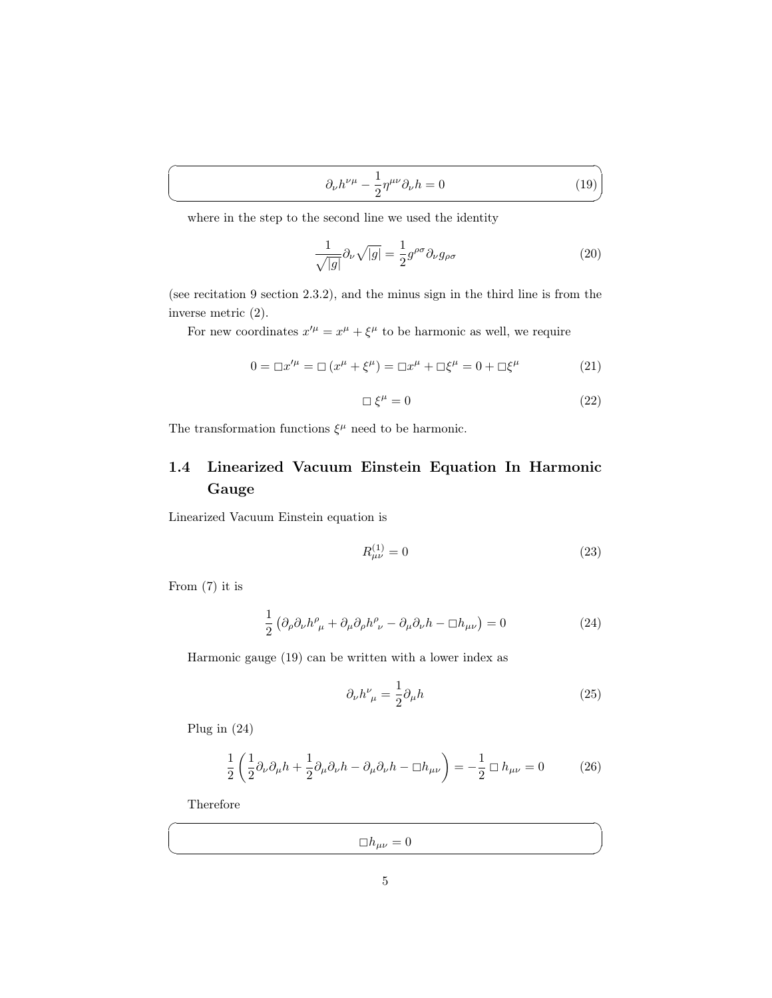<span id="page-4-1"></span>
$$
\partial_{\nu}h^{\nu\mu} - \frac{1}{2}\eta^{\mu\nu}\partial_{\nu}h = 0\tag{19}
$$

where in the step to the second line we used the identity

$$
\frac{1}{\sqrt{|g|}}\partial_{\nu}\sqrt{|g|} = \frac{1}{2}g^{\rho\sigma}\partial_{\nu}g_{\rho\sigma}
$$
\n(20)

(see recitation 9 section 2.3.2), and the minus sign in the third line is from the inverse metric [\(2\)](#page-1-4).

For new coordinates  $x^{\prime \mu} = x^{\mu} + \xi^{\mu}$  to be harmonic as well, we require

$$
0 = \Box x'^{\mu} = \Box (x^{\mu} + \xi^{\mu}) = \Box x^{\mu} + \Box \xi^{\mu} = 0 + \Box \xi^{\mu}
$$
 (21)

$$
\Box \xi^{\mu} = 0 \tag{22}
$$

The transformation functions  $\xi^{\mu}$  need to be harmonic.

## <span id="page-4-0"></span>1.4 Linearized Vacuum Einstein Equation In Harmonic Gauge

Linearized Vacuum Einstein equation is

$$
R_{\mu\nu}^{(1)} = 0 \tag{23}
$$

From [\(7\)](#page-2-3) it is

 $\overline{a}$ 

 $\searrow$ 

<span id="page-4-2"></span>
$$
\frac{1}{2} \left( \partial_{\rho} \partial_{\nu} h^{\rho}_{\ \mu} + \partial_{\mu} \partial_{\rho} h^{\rho}_{\ \nu} - \partial_{\mu} \partial_{\nu} h - \Box h_{\mu \nu} \right) = 0 \tag{24}
$$

Harmonic gauge [\(19\)](#page-4-1) can be written with a lower index as

$$
\partial_{\nu}h^{\nu}_{\ \mu} = \frac{1}{2}\partial_{\mu}h\tag{25}
$$

✟

✠

Plug in [\(24\)](#page-4-2)

$$
\frac{1}{2}\left(\frac{1}{2}\partial_{\nu}\partial_{\mu}h + \frac{1}{2}\partial_{\mu}\partial_{\nu}h - \partial_{\mu}\partial_{\nu}h - \Box h_{\mu\nu}\right) = -\frac{1}{2}\Box h_{\mu\nu} = 0
$$
 (26)

Therefore

☛

 $\searrow$ 

 $\Box h_{\mu\nu}=0$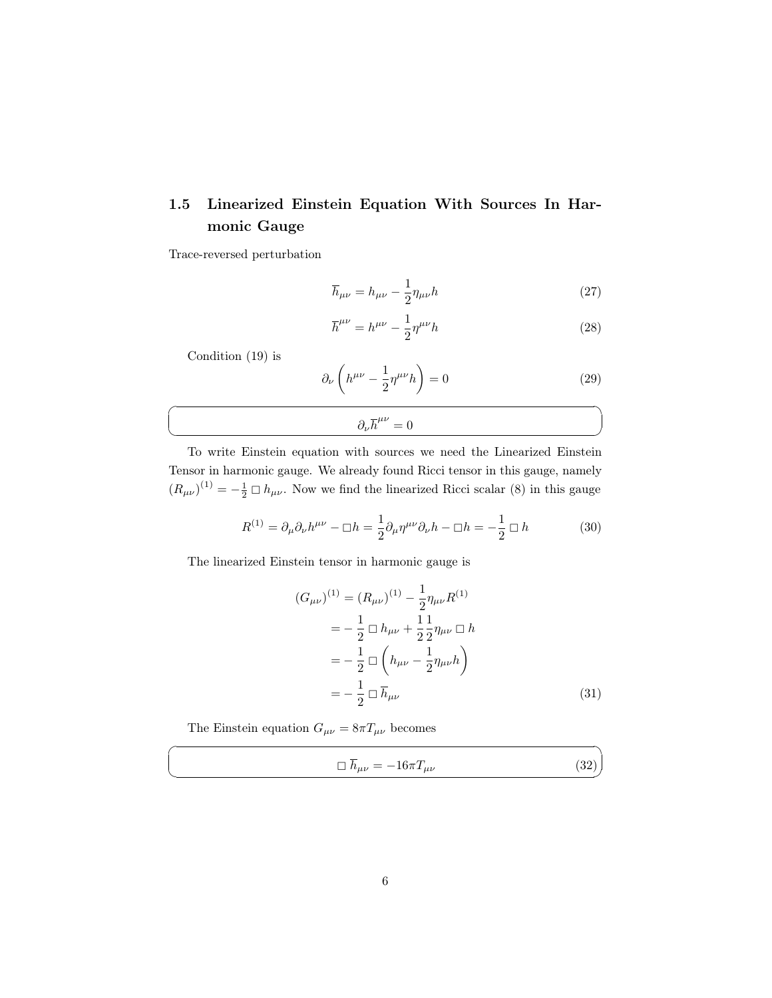## <span id="page-5-0"></span>1.5 Linearized Einstein Equation With Sources In Harmonic Gauge

Trace-reversed perturbation

$$
\overline{h}_{\mu\nu} = h_{\mu\nu} - \frac{1}{2} \eta_{\mu\nu} h \tag{27}
$$

$$
\overline{h}^{\mu\nu} = h^{\mu\nu} - \frac{1}{2} \eta^{\mu\nu} h \tag{28}
$$

Condition [\(19\)](#page-4-1) is

☛

 $\searrow$ 

☛

 $\searrow$ 

$$
\partial_{\nu} \left( h^{\mu \nu} - \frac{1}{2} \eta^{\mu \nu} h \right) = 0 \tag{29}
$$

# $\partial_{\nu} \overline{h}^{\mu\nu} = 0$

To write Einstein equation with sources we need the Linearized Einstein Tensor in harmonic gauge. We already found Ricci tensor in this gauge, namely  $(R_{\mu\nu})^{(1)} = -\frac{1}{2} \Box h_{\mu\nu}$ . Now we find the linearized Ricci scalar [\(8\)](#page-2-4) in this gauge

$$
R^{(1)} = \partial_{\mu}\partial_{\nu}h^{\mu\nu} - \Box h = \frac{1}{2}\partial_{\mu}\eta^{\mu\nu}\partial_{\nu}h - \Box h = -\frac{1}{2}\Box h \tag{30}
$$

The linearized Einstein tensor in harmonic gauge is

$$
(G_{\mu\nu})^{(1)} = (R_{\mu\nu})^{(1)} - \frac{1}{2}\eta_{\mu\nu}R^{(1)}
$$
  
=  $-\frac{1}{2}\Box h_{\mu\nu} + \frac{1}{2}\frac{1}{2}\eta_{\mu\nu}\Box h$   
=  $-\frac{1}{2}\Box\left(h_{\mu\nu} - \frac{1}{2}\eta_{\mu\nu}h\right)$   
=  $-\frac{1}{2}\Box\overline{h}_{\mu\nu}$  (31)

The Einstein equation  $G_{\mu\nu}=8\pi T_{\mu\nu}$  becomes

$$
\Box \overline{h}_{\mu\nu} = -16\pi T_{\mu\nu} \tag{32}
$$

✠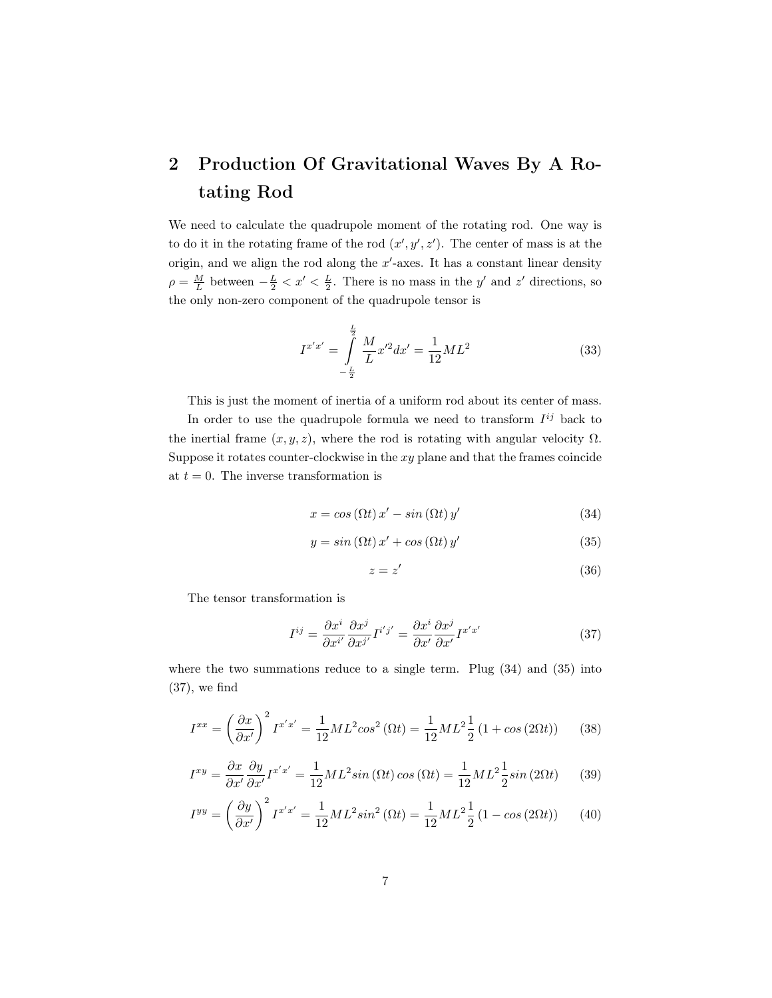## <span id="page-6-0"></span>2 Production Of Gravitational Waves By A Rotating Rod

We need to calculate the quadrupole moment of the rotating rod. One way is to do it in the rotating frame of the rod  $(x', y', z')$ . The center of mass is at the origin, and we align the rod along the  $x'$ -axes. It has a constant linear density  $\rho = \frac{M}{L}$  between  $-\frac{L}{2} < x' < \frac{L}{2}$ . There is no mass in the y' and z' directions, so the only non-zero component of the quadrupole tensor is

$$
I^{x'x'} = \int_{-\frac{L}{2}}^{\frac{L}{2}} \frac{M}{L} x'^2 dx' = \frac{1}{12} ML^2
$$
 (33)

This is just the moment of inertia of a uniform rod about its center of mass.

In order to use the quadrupole formula we need to transform  $I^{ij}$  back to the inertial frame  $(x, y, z)$ , where the rod is rotating with angular velocity  $\Omega$ . Suppose it rotates counter-clockwise in the  $xy$  plane and that the frames coincide at  $t = 0$ . The inverse transformation is

<span id="page-6-1"></span>
$$
x = \cos(\Omega t) x' - \sin(\Omega t) y'
$$
 (34)

<span id="page-6-2"></span>
$$
y = \sin(\Omega t) x' + \cos(\Omega t) y' \tag{35}
$$

$$
z = z' \tag{36}
$$

The tensor transformation is

<span id="page-6-3"></span>
$$
I^{ij} = \frac{\partial x^i}{\partial x^{i'}} \frac{\partial x^j}{\partial x^{j'}} I^{i'j'} = \frac{\partial x^i}{\partial x'} \frac{\partial x^j}{\partial x'} I^{x'x'}
$$
(37)

where the two summations reduce to a single term. Plug [\(34\)](#page-6-1) and [\(35\)](#page-6-2) into [\(37\)](#page-6-3), we find

$$
I^{xx} = \left(\frac{\partial x}{\partial x'}\right)^2 I^{x'x'} = \frac{1}{12}ML^2 \cos^2(\Omega t) = \frac{1}{12}ML^2 \frac{1}{2} (1 + \cos(2\Omega t))
$$
 (38)

$$
I^{xy} = \frac{\partial x}{\partial x'} \frac{\partial y}{\partial x'} I^{x'x'} = \frac{1}{12} ML^2 \sin(\Omega t) \cos(\Omega t) = \frac{1}{12} ML^2 \frac{1}{2} \sin(2\Omega t) \tag{39}
$$

$$
I^{yy} = \left(\frac{\partial y}{\partial x'}\right)^2 I^{x'x'} = \frac{1}{12}ML^2 \sin^2(\Omega t) = \frac{1}{12}ML^2 \frac{1}{2} (1 - \cos(2\Omega t)) \tag{40}
$$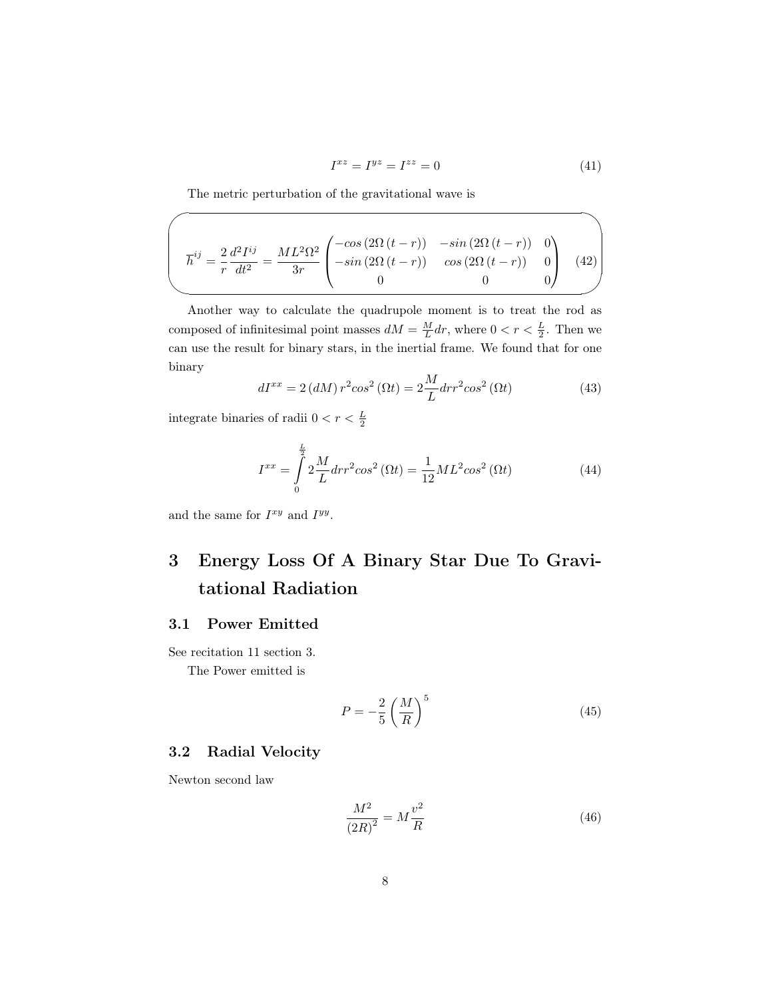$$
I^{xz} = I^{yz} = I^{zz} = 0\tag{41}
$$

The metric perturbation of the gravitational wave is

$$
\overline{h}^{ij} = \frac{2}{r} \frac{d^2 I^{ij}}{dt^2} = \frac{ML^2 \Omega^2}{3r} \begin{pmatrix} -\cos(2\Omega(t-r)) & -\sin(2\Omega(t-r)) & 0\\ -\sin(2\Omega(t-r)) & \cos(2\Omega(t-r)) & 0\\ 0 & 0 & 0 \end{pmatrix}
$$
(42)

Another way to calculate the quadrupole moment is to treat the rod as composed of infinitesimal point masses  $dM = \frac{M}{L} dr$ , where  $0 < r < \frac{L}{2}$ . Then we can use the result for binary stars, in the inertial frame. We found that for one binary

$$
dI^{xx} = 2 (dM) r^2 \cos^2(\Omega t) = 2 \frac{M}{L} dr r^2 \cos^2(\Omega t)
$$
 (43)

integrate binaries of radii  $0 < r < \frac{L}{2}$ 

 $\sqrt{a}$ 

$$
I^{xx} = \int_{0}^{\frac{L}{2}} 2\frac{M}{L} dr r^{2} \cos^{2}(\Omega t) = \frac{1}{12} M L^{2} \cos^{2}(\Omega t)
$$
 (44)

and the same for  $I^{xy}$  and  $I^{yy}$ .

## <span id="page-7-0"></span>3 Energy Loss Of A Binary Star Due To Gravitational Radiation

### <span id="page-7-1"></span>3.1 Power Emitted

See recitation 11 section 3. The Power emitted is

<span id="page-7-3"></span>
$$
P = -\frac{2}{5} \left(\frac{M}{R}\right)^5 \tag{45}
$$

### <span id="page-7-2"></span>3.2 Radial Velocity

Newton second law

<span id="page-7-4"></span>
$$
\frac{M^2}{\left(2R\right)^2} = M\frac{v^2}{R} \tag{46}
$$